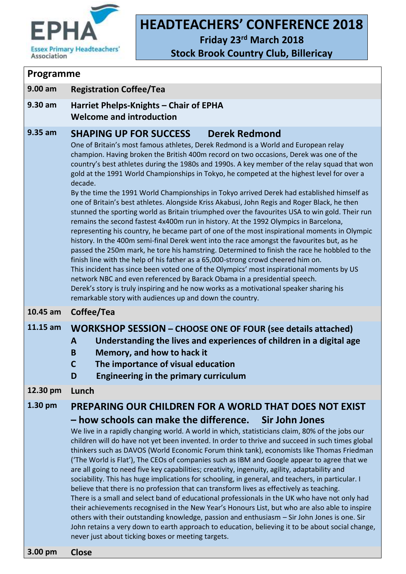

# **HEADTEACHERS' CONFERENCE 2018**

**Friday 23rd March 2018**

**Stock Brook Country Club, Billericay**

#### **Programme**

**9.00 am Registration Coffee/Tea**

**9.30 am Harriet Phelps-Knights – Chair of EPHA Welcome and introduction**

#### **9.35 am SHAPING UP FOR SUCCESS Derek Redmond**

One of Britain's most famous athletes, Derek Redmond is a World and European relay champion. Having broken the British 400m record on two occasions, Derek was one of the country's best athletes during the 1980s and 1990s. A key member of the relay squad that won gold at the 1991 World Championships in Tokyo, he competed at the highest level for over a decade.

By the time the 1991 World Championships in Tokyo arrived Derek had established himself as one of Britain's best athletes. Alongside Kriss Akabusi, John Regis and Roger Black, he then stunned the sporting world as Britain triumphed over the favourites USA to win gold. Their run remains the second fastest 4x400m run in history. At the 1992 Olympics in Barcelona, representing his country, he became part of one of the most inspirational moments in Olympic history. In the 400m semi-final Derek went into the race amongst the favourites but, as he passed the 250m mark, he tore his hamstring. Determined to finish the race he hobbled to the finish line with the help of his father as a 65,000-strong crowd cheered him on. This incident has since been voted one of the Olympics' most inspirational moments by US network NBC and even referenced by Barack Obama in a presidential speech. Derek's story is truly inspiring and he now works as a motivational speaker sharing his remarkable story with audiences up and down the country.

#### **10.45 am Coffee/Tea**

#### **11.15 am WORKSHOP SESSION – CHOOSE ONE OF FOUR (see details attached)**

#### **A Understanding the lives and experiences of children in a digital age**

- **B Memory, and how to hack it**
- **C The importance of visual education**
- **D Engineering in the primary curriculum**

#### **12.30 pm Lunch**

### **1.30 pm PREPARING OUR CHILDREN FOR A WORLD THAT DOES NOT EXIST – how schools can make the difference. Sir John Jones**

We live in a rapidly changing world. A world in which, statisticians claim, 80% of the jobs our children will do have not yet been invented. In order to thrive and succeed in such times global thinkers such as DAVOS (World Economic Forum think tank), economists like Thomas Friedman ('The World is Flat'), The CEOs of companies such as IBM and Google appear to agree that we are all going to need five key capabilities; creativity, ingenuity, agility, adaptability and sociability. This has huge implications for schooling, in general, and teachers, in particular. I believe that there is no profession that can transform lives as effectively as teaching. There is a small and select band of educational professionals in the UK who have not only had their achievements recognised in the New Year's Honours List, but who are also able to inspire others with their outstanding knowledge, passion and enthusiasm – Sir John Jones is one. Sir John retains a very down to earth approach to education, believing it to be about social change, never just about ticking boxes or meeting targets.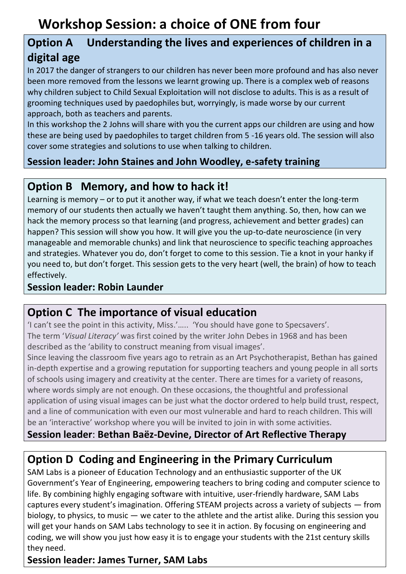# **Option A Understanding the lives and experiences of children in a digital age**

In 2017 the danger of strangers to our children has never been more profound and has also never been more removed from the lessons we learnt growing up. There is a complex web of reasons why children subject to Child Sexual Exploitation will not disclose to adults. This is as a result of grooming techniques used by paedophiles but, worryingly, is made worse by our current approach, both as teachers and parents.

In this workshop the 2 Johns will share with you the current apps our children are using and how these are being used by paedophiles to target children from 5 -16 years old. The session will also cover some strategies and solutions to use when talking to children.

## **Session leader: John Staines and John Woodley, e-safety training**

## **Option B Memory, and how to hack it!**

Learning is memory – or to put it another way, if what we teach doesn't enter the long-term memory of our students then actually we haven't taught them anything. So, then, how can we hack the memory process so that learning (and progress, achievement and better grades) can happen? This session will show you how. It will give you the up-to-date neuroscience (in very manageable and memorable chunks) and link that neuroscience to specific teaching approaches and strategies. Whatever you do, don't forget to come to this session. Tie a knot in your hanky if you need to, but don't forget. This session gets to the very heart (well, the brain) of how to teach effectively.

### **Session leader: Robin Launder**

## **Option C The importance of visual education**

'I can't see the point in this activity, Miss.'….. 'You should have gone to Specsavers'. The term '*Visual Literacy'* was first coined by the writer John Debes in 1968 and has been described as the 'ability to construct meaning from visual images'.

Since leaving the classroom five years ago to retrain as an Art Psychotherapist, Bethan has gained in-depth expertise and a growing reputation for supporting teachers and young people in all sorts of schools using imagery and creativity at the center. There are times for a variety of reasons, where words simply are not enough. On these occasions, the thoughtful and professional application of using visual images can be just what the doctor ordered to help build trust, respect, and a line of communication with even our most vulnerable and hard to reach children. This will be an 'interactive' workshop where you will be invited to join in with some activities.

## **Session leader**: **Bethan Baëz-Devine, Director of Art Reflective Therapy**

# **Option D Coding and Engineering in the Primary Curriculum**

SAM Labs is a pioneer of Education Technology and an enthusiastic supporter of the UK Government's Year of Engineering, empowering teachers to bring coding and computer science to life. By combining highly engaging software with intuitive, user-friendly hardware, SAM Labs captures every student's imagination. Offering STEAM projects across a variety of subjects — from biology, to physics, to music — we cater to the athlete and the artist alike. During this session you will get your hands on SAM Labs technology to see it in action. By focusing on engineering and coding, we will show you just how easy it is to engage your students with the 21st century skills they need.

### **Session leader: James Turner, SAM Labs**